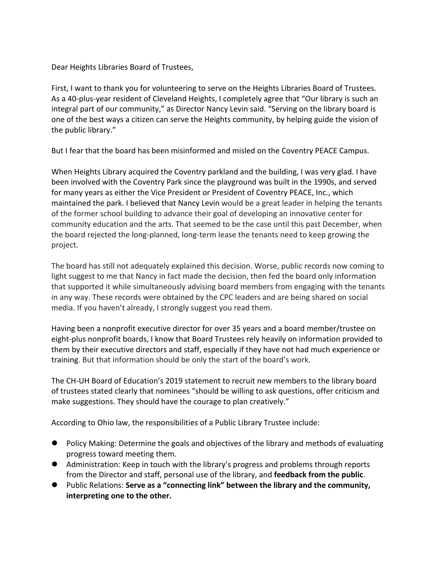Dear Heights Libraries Board of Trustees,

First, I want to thank you for volunteering to serve on the Heights Libraries Board of Trustees. As a 40-plus-year resident of Cleveland Heights, I completely agree that "Our library is such an integral part of our community," as Director Nancy Levin said. "Serving on the library board is one of the best ways a citizen can serve the Heights community, by helping guide the vision of the public library."

But I fear that the board has been misinformed and misled on the Coventry PEACE Campus.

When Heights Library acquired the Coventry parkland and the building, I was very glad. I have been involved with the Coventry Park since the playground was built in the 1990s, and served for many years as either the Vice President or President of Coventry PEACE, Inc., which maintained the park. I believed that Nancy Levin would be a great leader in helping the tenants of the former school building to advance their goal of developing an innovative center for community education and the arts. That seemed to be the case until this past December, when the board rejected the long-planned, long-term lease the tenants need to keep growing the project.

The board has still not adequately explained this decision. Worse, public records now coming to light suggest to me that Nancy in fact made the decision, then fed the board only information that supported it while simultaneously advising board members from engaging with the tenants in any way. These records were obtained by the CPC leaders and are being shared on social media. If you haven't already, I strongly suggest you read them.

Having been a nonprofit executive director for over 35 years and a board member/trustee on eight-plus nonprofit boards, I know that Board Trustees rely heavily on information provided to them by their executive directors and staff, especially if they have not had much experience or training. But that information should be only the start of the board's work.

The CH-UH Board of Education's 2019 statement to recruit new members to the library board of trustees stated clearly that nominees "should be willing to ask questions, offer criticism and make suggestions. They should have the courage to plan creatively."

According to Ohio law, the responsibilities of a Public Library Trustee include:

- **•** Policy Making: Determine the goals and objectives of the library and methods of evaluating progress toward meeting them.
- l Administration: Keep in touch with the library's progress and problems through reports from the Director and staff, personal use of the library, and **feedback from the public**.
- **•** Public Relations: Serve as a "connecting link" between the library and the community, **interpreting one to the other.**